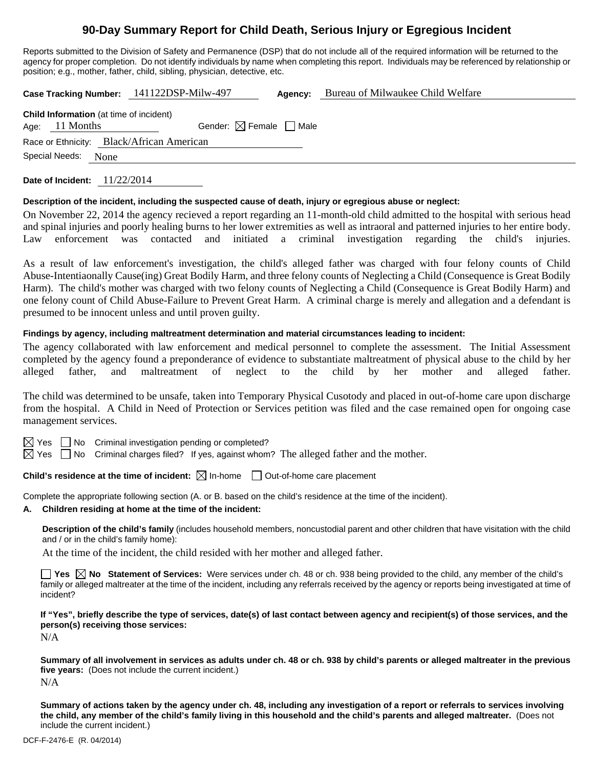# **90-Day Summary Report for Child Death, Serious Injury or Egregious Incident**

Reports submitted to the Division of Safety and Permanence (DSP) that do not include all of the required information will be returned to the agency for proper completion. Do not identify individuals by name when completing this report. Individuals may be referenced by relationship or position; e.g., mother, father, child, sibling, physician, detective, etc.

**Case Tracking Number:** 141122DSP-Milw-497 **Agency:** Bureau of Milwaukee Child Welfare

| <b>Child Information</b> (at time of incident) |                        |                                        |  |  |  |  |  |
|------------------------------------------------|------------------------|----------------------------------------|--|--|--|--|--|
|                                                | Age: $11$ Months       | Gender: $\boxtimes$ Female $\Box$ Male |  |  |  |  |  |
| Race or Ethnicity: Black/African American      |                        |                                        |  |  |  |  |  |
|                                                | Special Needs:<br>None |                                        |  |  |  |  |  |

**Date of Incident:** 11/22/2014

## **Description of the incident, including the suspected cause of death, injury or egregious abuse or neglect:**

On November 22, 2014 the agency recieved a report regarding an 11-month-old child admitted to the hospital with serious head and spinal injuries and poorly healing burns to her lower extremities as well as intraoral and patterned injuries to her entire body. Law enforcement was contacted and initiated a criminal investigation regarding the child's injuries.

As a result of law enforcement's investigation, the child's alleged father was charged with four felony counts of Child Abuse-Intentiaonally Cause(ing) Great Bodily Harm, and three felony counts of Neglecting a Child (Consequence is Great Bodily Harm). The child's mother was charged with two felony counts of Neglecting a Child (Consequence is Great Bodily Harm) and one felony count of Child Abuse-Failure to Prevent Great Harm. A criminal charge is merely and allegation and a defendant is presumed to be innocent unless and until proven guilty.

## **Findings by agency, including maltreatment determination and material circumstances leading to incident:**

The agency collaborated with law enforcement and medical personnel to complete the assessment. The Initial Assessment completed by the agency found a preponderance of evidence to substantiate maltreatment of physical abuse to the child by her alleged father, and maltreatment of neglect to the child by her mother and alleged father.

The child was determined to be unsafe, taken into Temporary Physical Cusotody and placed in out-of-home care upon discharge from the hospital. A Child in Need of Protection or Services petition was filed and the case remained open for ongoing case management services.



 $\boxtimes$  Yes  $\Box$  No Criminal investigation pending or completed?

 $\boxtimes$  Yes  $\Box$  No Criminal charges filed? If yes, against whom? The alleged father and the mother.

**Child's residence at the time of incident:**  $\boxtimes$  In-home  $\Box$  Out-of-home care placement

Complete the appropriate following section (A. or B. based on the child's residence at the time of the incident).

**A. Children residing at home at the time of the incident:**

**Description of the child's family** (includes household members, noncustodial parent and other children that have visitation with the child and / or in the child's family home):

At the time of the incident, the child resided with her mother and alleged father.

■ Yes △ No Statement of Services: Were services under ch. 48 or ch. 938 being provided to the child, any member of the child's family or alleged maltreater at the time of the incident, including any referrals received by the agency or reports being investigated at time of incident?

**If "Yes", briefly describe the type of services, date(s) of last contact between agency and recipient(s) of those services, and the person(s) receiving those services:** 

N/A

**Summary of all involvement in services as adults under ch. 48 or ch. 938 by child's parents or alleged maltreater in the previous five years:** (Does not include the current incident.) N/A

**Summary of actions taken by the agency under ch. 48, including any investigation of a report or referrals to services involving the child, any member of the child's family living in this household and the child's parents and alleged maltreater.** (Does not include the current incident.)